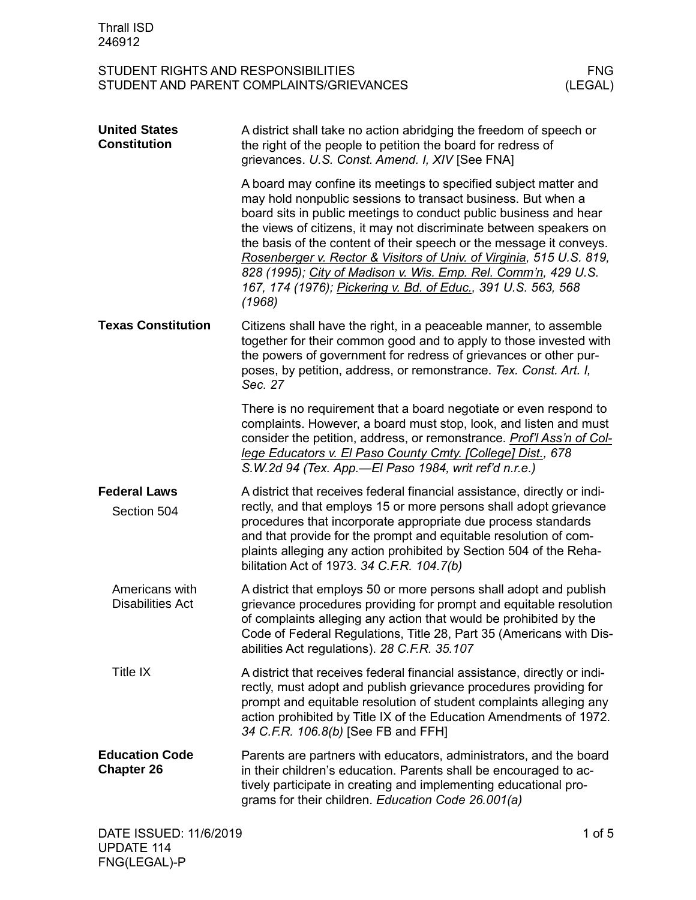| <b>Thrall ISD</b><br>246912                                                                              |                                                                                                                                                                                                                                                                                                                                                                                                                                                                                                                                                                         |  |
|----------------------------------------------------------------------------------------------------------|-------------------------------------------------------------------------------------------------------------------------------------------------------------------------------------------------------------------------------------------------------------------------------------------------------------------------------------------------------------------------------------------------------------------------------------------------------------------------------------------------------------------------------------------------------------------------|--|
| STUDENT RIGHTS AND RESPONSIBILITIES<br><b>FNG</b><br>(LEGAL)<br>STUDENT AND PARENT COMPLAINTS/GRIEVANCES |                                                                                                                                                                                                                                                                                                                                                                                                                                                                                                                                                                         |  |
| <b>United States</b><br><b>Constitution</b>                                                              | A district shall take no action abridging the freedom of speech or<br>the right of the people to petition the board for redress of<br>grievances. U.S. Const. Amend. I, XIV [See FNA]                                                                                                                                                                                                                                                                                                                                                                                   |  |
|                                                                                                          | A board may confine its meetings to specified subject matter and<br>may hold nonpublic sessions to transact business. But when a<br>board sits in public meetings to conduct public business and hear<br>the views of citizens, it may not discriminate between speakers on<br>the basis of the content of their speech or the message it conveys.<br>Rosenberger v. Rector & Visitors of Univ. of Virginia, 515 U.S. 819,<br>828 (1995); City of Madison v. Wis. Emp. Rel. Comm'n, 429 U.S.<br>167, 174 (1976); Pickering v. Bd. of Educ., 391 U.S. 563, 568<br>(1968) |  |
| <b>Texas Constitution</b>                                                                                | Citizens shall have the right, in a peaceable manner, to assemble<br>together for their common good and to apply to those invested with<br>the powers of government for redress of grievances or other pur-<br>poses, by petition, address, or remonstrance. Tex. Const. Art. I,<br>Sec. 27                                                                                                                                                                                                                                                                             |  |
|                                                                                                          | There is no requirement that a board negotiate or even respond to<br>complaints. However, a board must stop, look, and listen and must<br>consider the petition, address, or remonstrance. Prof'l Ass'n of Col-<br>lege Educators v. El Paso County Cmty. [College] Dist., 678<br>S.W.2d 94 (Tex. App.—El Paso 1984, writ ref'd n.r.e.)                                                                                                                                                                                                                                 |  |
| <b>Federal Laws</b><br>Section 504                                                                       | A district that receives federal financial assistance, directly or indi-<br>rectly, and that employs 15 or more persons shall adopt grievance<br>procedures that incorporate appropriate due process standards<br>and that provide for the prompt and equitable resolution of com-<br>plaints alleging any action prohibited by Section 504 of the Reha-<br>bilitation Act of 1973. 34 C.F.R. 104.7(b)                                                                                                                                                                  |  |
| Americans with<br><b>Disabilities Act</b>                                                                | A district that employs 50 or more persons shall adopt and publish<br>grievance procedures providing for prompt and equitable resolution<br>of complaints alleging any action that would be prohibited by the<br>Code of Federal Regulations, Title 28, Part 35 (Americans with Dis-<br>abilities Act regulations). 28 C.F.R. 35.107                                                                                                                                                                                                                                    |  |
| Title IX                                                                                                 | A district that receives federal financial assistance, directly or indi-<br>rectly, must adopt and publish grievance procedures providing for<br>prompt and equitable resolution of student complaints alleging any<br>action prohibited by Title IX of the Education Amendments of 1972.<br>34 C.F.R. 106.8(b) [See FB and FFH]                                                                                                                                                                                                                                        |  |
| <b>Education Code</b><br><b>Chapter 26</b>                                                               | Parents are partners with educators, administrators, and the board<br>in their children's education. Parents shall be encouraged to ac-<br>tively participate in creating and implementing educational pro-<br>grams for their children. Education Code 26.001(a)                                                                                                                                                                                                                                                                                                       |  |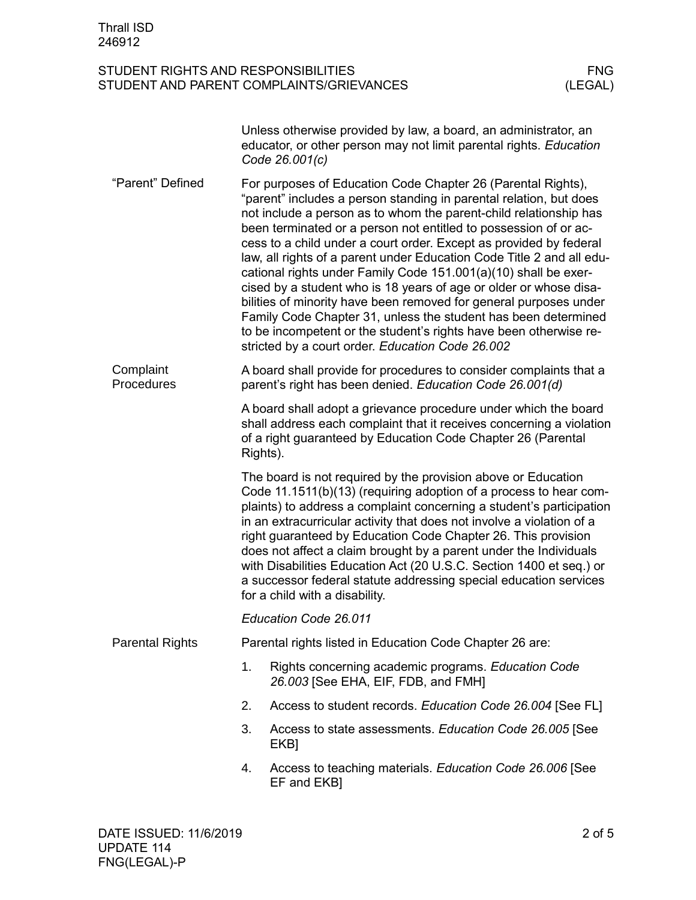|                         |                                                                                                                                                                                                                                                                                                                                                                                                                                                                                                                                                                                                         | Unless otherwise provided by law, a board, an administrator, an<br>educator, or other person may not limit parental rights. Education<br>Code 26.001(c)                                                                                                                                                                                                                                                                                                                                                                                                                                                                                                                                                                                                                                                                            |  |  |  |
|-------------------------|---------------------------------------------------------------------------------------------------------------------------------------------------------------------------------------------------------------------------------------------------------------------------------------------------------------------------------------------------------------------------------------------------------------------------------------------------------------------------------------------------------------------------------------------------------------------------------------------------------|------------------------------------------------------------------------------------------------------------------------------------------------------------------------------------------------------------------------------------------------------------------------------------------------------------------------------------------------------------------------------------------------------------------------------------------------------------------------------------------------------------------------------------------------------------------------------------------------------------------------------------------------------------------------------------------------------------------------------------------------------------------------------------------------------------------------------------|--|--|--|
| "Parent" Defined        |                                                                                                                                                                                                                                                                                                                                                                                                                                                                                                                                                                                                         | For purposes of Education Code Chapter 26 (Parental Rights),<br>"parent" includes a person standing in parental relation, but does<br>not include a person as to whom the parent-child relationship has<br>been terminated or a person not entitled to possession of or ac-<br>cess to a child under a court order. Except as provided by federal<br>law, all rights of a parent under Education Code Title 2 and all edu-<br>cational rights under Family Code 151.001(a)(10) shall be exer-<br>cised by a student who is 18 years of age or older or whose disa-<br>bilities of minority have been removed for general purposes under<br>Family Code Chapter 31, unless the student has been determined<br>to be incompetent or the student's rights have been otherwise re-<br>stricted by a court order. Education Code 26.002 |  |  |  |
| Complaint<br>Procedures | A board shall provide for procedures to consider complaints that a<br>parent's right has been denied. Education Code 26.001(d)                                                                                                                                                                                                                                                                                                                                                                                                                                                                          |                                                                                                                                                                                                                                                                                                                                                                                                                                                                                                                                                                                                                                                                                                                                                                                                                                    |  |  |  |
|                         | A board shall adopt a grievance procedure under which the board<br>shall address each complaint that it receives concerning a violation<br>of a right guaranteed by Education Code Chapter 26 (Parental<br>Rights).                                                                                                                                                                                                                                                                                                                                                                                     |                                                                                                                                                                                                                                                                                                                                                                                                                                                                                                                                                                                                                                                                                                                                                                                                                                    |  |  |  |
|                         | The board is not required by the provision above or Education<br>Code 11.1511(b)(13) (requiring adoption of a process to hear com-<br>plaints) to address a complaint concerning a student's participation<br>in an extracurricular activity that does not involve a violation of a<br>right guaranteed by Education Code Chapter 26. This provision<br>does not affect a claim brought by a parent under the Individuals<br>with Disabilities Education Act (20 U.S.C. Section 1400 et seq.) or<br>a successor federal statute addressing special education services<br>for a child with a disability. |                                                                                                                                                                                                                                                                                                                                                                                                                                                                                                                                                                                                                                                                                                                                                                                                                                    |  |  |  |
|                         | Education Code 26.011                                                                                                                                                                                                                                                                                                                                                                                                                                                                                                                                                                                   |                                                                                                                                                                                                                                                                                                                                                                                                                                                                                                                                                                                                                                                                                                                                                                                                                                    |  |  |  |
| <b>Parental Rights</b>  | Parental rights listed in Education Code Chapter 26 are:                                                                                                                                                                                                                                                                                                                                                                                                                                                                                                                                                |                                                                                                                                                                                                                                                                                                                                                                                                                                                                                                                                                                                                                                                                                                                                                                                                                                    |  |  |  |
|                         | 1.                                                                                                                                                                                                                                                                                                                                                                                                                                                                                                                                                                                                      | Rights concerning academic programs. Education Code<br>26.003 [See EHA, EIF, FDB, and FMH]                                                                                                                                                                                                                                                                                                                                                                                                                                                                                                                                                                                                                                                                                                                                         |  |  |  |
|                         | 2.                                                                                                                                                                                                                                                                                                                                                                                                                                                                                                                                                                                                      | Access to student records. Education Code 26.004 [See FL]                                                                                                                                                                                                                                                                                                                                                                                                                                                                                                                                                                                                                                                                                                                                                                          |  |  |  |
|                         | 3.                                                                                                                                                                                                                                                                                                                                                                                                                                                                                                                                                                                                      | Access to state assessments. Education Code 26.005 [See<br>EKB]                                                                                                                                                                                                                                                                                                                                                                                                                                                                                                                                                                                                                                                                                                                                                                    |  |  |  |
|                         | 4.                                                                                                                                                                                                                                                                                                                                                                                                                                                                                                                                                                                                      | Access to teaching materials. Education Code 26.006 [See<br>EF and EKB]                                                                                                                                                                                                                                                                                                                                                                                                                                                                                                                                                                                                                                                                                                                                                            |  |  |  |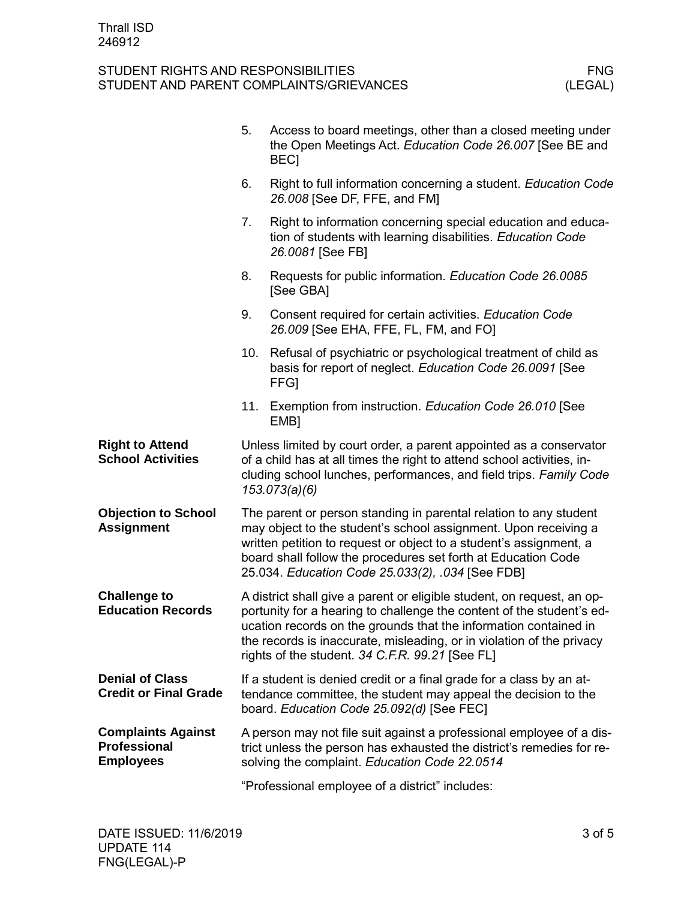|                                                               | 5.                                                                                                                                                                                                                                                                                                                                              | Access to board meetings, other than a closed meeting under<br>the Open Meetings Act. Education Code 26.007 [See BE and<br><b>BECI</b>                                                                                              |
|---------------------------------------------------------------|-------------------------------------------------------------------------------------------------------------------------------------------------------------------------------------------------------------------------------------------------------------------------------------------------------------------------------------------------|-------------------------------------------------------------------------------------------------------------------------------------------------------------------------------------------------------------------------------------|
|                                                               | 6.                                                                                                                                                                                                                                                                                                                                              | Right to full information concerning a student. Education Code<br>26.008 [See DF, FFE, and FM]                                                                                                                                      |
|                                                               | 7.                                                                                                                                                                                                                                                                                                                                              | Right to information concerning special education and educa-<br>tion of students with learning disabilities. Education Code<br>26.0081 [See FB]                                                                                     |
|                                                               | 8.                                                                                                                                                                                                                                                                                                                                              | Requests for public information. Education Code 26.0085<br>[See GBA]                                                                                                                                                                |
|                                                               | 9.                                                                                                                                                                                                                                                                                                                                              | Consent required for certain activities. Education Code<br>26.009 [See EHA, FFE, FL, FM, and FO]                                                                                                                                    |
|                                                               | 10.                                                                                                                                                                                                                                                                                                                                             | Refusal of psychiatric or psychological treatment of child as<br>basis for report of neglect. Education Code 26.0091 [See<br><b>FFGI</b>                                                                                            |
|                                                               | 11.                                                                                                                                                                                                                                                                                                                                             | Exemption from instruction. Education Code 26.010 [See<br>EMB <sub>1</sub>                                                                                                                                                          |
| <b>Right to Attend</b><br><b>School Activities</b>            |                                                                                                                                                                                                                                                                                                                                                 | Unless limited by court order, a parent appointed as a conservator<br>of a child has at all times the right to attend school activities, in-<br>cluding school lunches, performances, and field trips. Family Code<br>153.073(a)(6) |
| <b>Objection to School</b><br><b>Assignment</b>               | The parent or person standing in parental relation to any student<br>may object to the student's school assignment. Upon receiving a<br>written petition to request or object to a student's assignment, a<br>board shall follow the procedures set forth at Education Code<br>25.034. Education Code 25.033(2), .034 [See FDB]                 |                                                                                                                                                                                                                                     |
| <b>Challenge to</b><br><b>Education Records</b>               | A district shall give a parent or eligible student, on request, an op-<br>portunity for a hearing to challenge the content of the student's ed-<br>ucation records on the grounds that the information contained in<br>the records is inaccurate, misleading, or in violation of the privacy<br>rights of the student. 34 C.F.R. 99.21 [See FL] |                                                                                                                                                                                                                                     |
| <b>Denial of Class</b><br><b>Credit or Final Grade</b>        |                                                                                                                                                                                                                                                                                                                                                 | If a student is denied credit or a final grade for a class by an at-<br>tendance committee, the student may appeal the decision to the<br>board. Education Code 25.092(d) [See FEC]                                                 |
| <b>Complaints Against</b><br>Professional<br><b>Employees</b> |                                                                                                                                                                                                                                                                                                                                                 | A person may not file suit against a professional employee of a dis-<br>trict unless the person has exhausted the district's remedies for re-<br>solving the complaint. Education Code 22.0514                                      |
|                                                               |                                                                                                                                                                                                                                                                                                                                                 | "Professional employee of a district" includes:                                                                                                                                                                                     |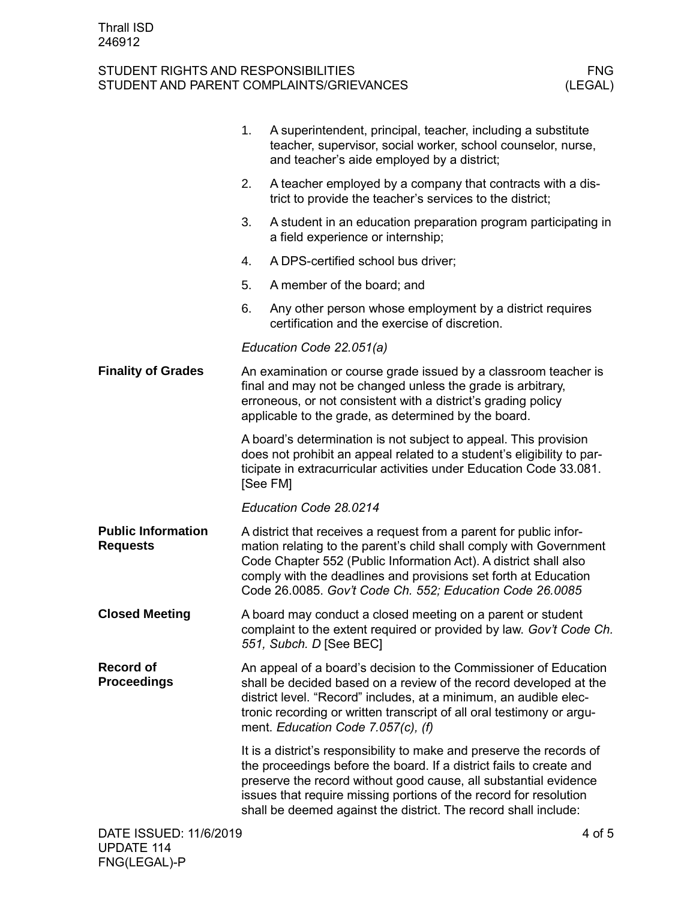|                                              | 1.                                                                                                                                                                                                                                                      | A superintendent, principal, teacher, including a substitute<br>teacher, supervisor, social worker, school counselor, nurse,<br>and teacher's aide employed by a district;                                                                                                                                                                               |  |
|----------------------------------------------|---------------------------------------------------------------------------------------------------------------------------------------------------------------------------------------------------------------------------------------------------------|----------------------------------------------------------------------------------------------------------------------------------------------------------------------------------------------------------------------------------------------------------------------------------------------------------------------------------------------------------|--|
|                                              | 2.                                                                                                                                                                                                                                                      | A teacher employed by a company that contracts with a dis-<br>trict to provide the teacher's services to the district;                                                                                                                                                                                                                                   |  |
|                                              | 3.                                                                                                                                                                                                                                                      | A student in an education preparation program participating in<br>a field experience or internship;                                                                                                                                                                                                                                                      |  |
|                                              | 4.                                                                                                                                                                                                                                                      | A DPS-certified school bus driver;                                                                                                                                                                                                                                                                                                                       |  |
|                                              | 5.                                                                                                                                                                                                                                                      | A member of the board; and                                                                                                                                                                                                                                                                                                                               |  |
|                                              | 6.                                                                                                                                                                                                                                                      | Any other person whose employment by a district requires<br>certification and the exercise of discretion.                                                                                                                                                                                                                                                |  |
|                                              |                                                                                                                                                                                                                                                         | Education Code 22.051(a)                                                                                                                                                                                                                                                                                                                                 |  |
| <b>Finality of Grades</b>                    | An examination or course grade issued by a classroom teacher is<br>final and may not be changed unless the grade is arbitrary,<br>erroneous, or not consistent with a district's grading policy<br>applicable to the grade, as determined by the board. |                                                                                                                                                                                                                                                                                                                                                          |  |
|                                              |                                                                                                                                                                                                                                                         | A board's determination is not subject to appeal. This provision<br>does not prohibit an appeal related to a student's eligibility to par-<br>ticipate in extracurricular activities under Education Code 33.081.<br>[See FM]                                                                                                                            |  |
|                                              |                                                                                                                                                                                                                                                         | Education Code 28.0214                                                                                                                                                                                                                                                                                                                                   |  |
| <b>Public Information</b><br><b>Requests</b> |                                                                                                                                                                                                                                                         | A district that receives a request from a parent for public infor-<br>mation relating to the parent's child shall comply with Government<br>Code Chapter 552 (Public Information Act). A district shall also<br>comply with the deadlines and provisions set forth at Education<br>Code 26.0085. Gov't Code Ch. 552; Education Code 26.0085              |  |
| <b>Closed Meeting</b>                        |                                                                                                                                                                                                                                                         | A board may conduct a closed meeting on a parent or student<br>complaint to the extent required or provided by law. Gov't Code Ch.<br>551, Subch. D [See BEC]                                                                                                                                                                                            |  |
| <b>Record of</b><br><b>Proceedings</b>       |                                                                                                                                                                                                                                                         | An appeal of a board's decision to the Commissioner of Education<br>shall be decided based on a review of the record developed at the<br>district level. "Record" includes, at a minimum, an audible elec-<br>tronic recording or written transcript of all oral testimony or argu-<br>ment. Education Code 7.057(c), (f)                                |  |
|                                              |                                                                                                                                                                                                                                                         | It is a district's responsibility to make and preserve the records of<br>the proceedings before the board. If a district fails to create and<br>preserve the record without good cause, all substantial evidence<br>issues that require missing portions of the record for resolution<br>shall be deemed against the district. The record shall include: |  |
| DATE ISSUED: 11/6/2019                       |                                                                                                                                                                                                                                                         | 4 of 5                                                                                                                                                                                                                                                                                                                                                   |  |